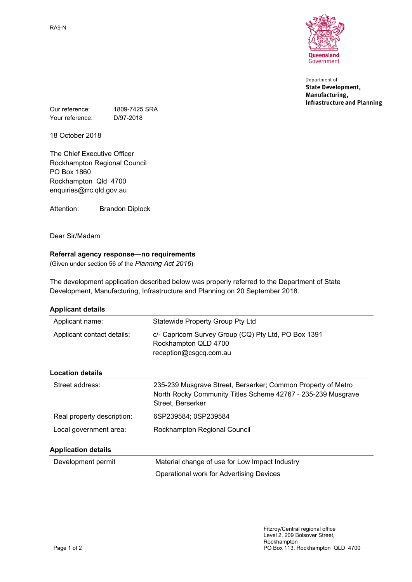RA9-N



Department of **State Development,** Manufacturing, **Infrastructure and Planning** 

Our reference: 1809-7425 SRA Your reference: D/97-2018

18 October 2018

The Chief Executive Officer Rockhampton Regional Council PO Box 1860 Rockhampton Qld 4700 enquiries@rrc.qld.gov.au

Attention: Brandon Diplock

Dear Sir/Madam

## **Referral agency response—no requirements**

(Given under section 56 of the *Planning Act 2016*)

The development application described below was properly referred to the Department of State Development, Manufacturing, Infrastructure and Planning on 20 September 2018.

| <b>Applicant details</b>   |                                                                                                                                                   |
|----------------------------|---------------------------------------------------------------------------------------------------------------------------------------------------|
| Applicant name:            | Statewide Property Group Pty Ltd                                                                                                                  |
| Applicant contact details: | c/- Capricorn Survey Group (CQ) Pty Ltd, PO Box 1391<br>Rockhampton QLD 4700<br>reception@csgcq.com.au                                            |
| <b>Location details</b>    |                                                                                                                                                   |
| Street address:            | 235-239 Musgrave Street, Berserker; Common Property of Metro<br>North Rocky Community Titles Scheme 42767 - 235-239 Musgrave<br>Street, Berserker |
| Real property description: | 6SP239584; 0SP239584                                                                                                                              |
| Local government area:     | Rockhampton Regional Council                                                                                                                      |
| <b>Application details</b> |                                                                                                                                                   |
| Development permit         | Material change of use for Low Impact Industry                                                                                                    |
|                            | Operational work for Advertising Devices                                                                                                          |